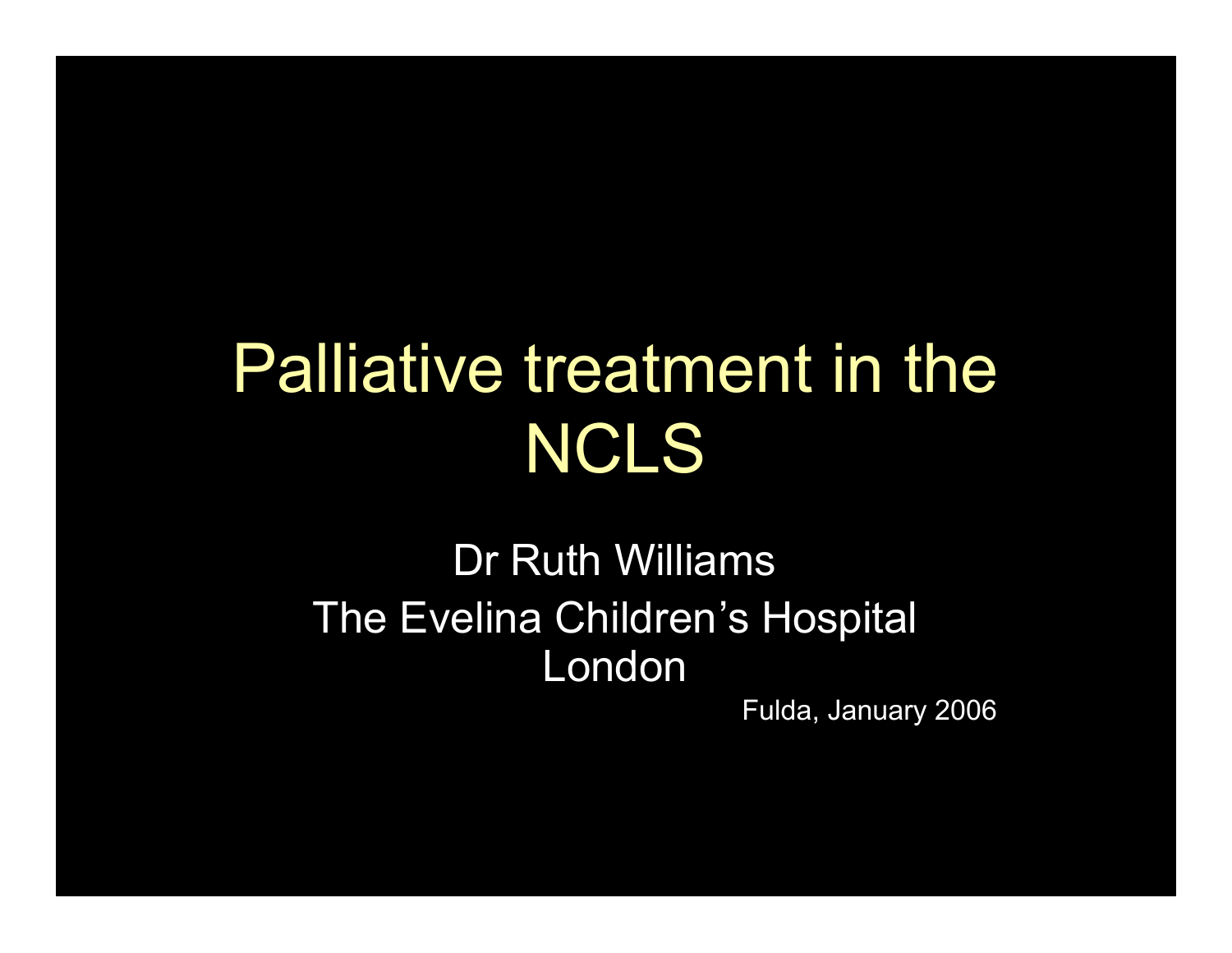## Palliative treatment in the NCLS

#### Dr Ruth Williams The Evelina Children's Hospital London

Fulda, January 2006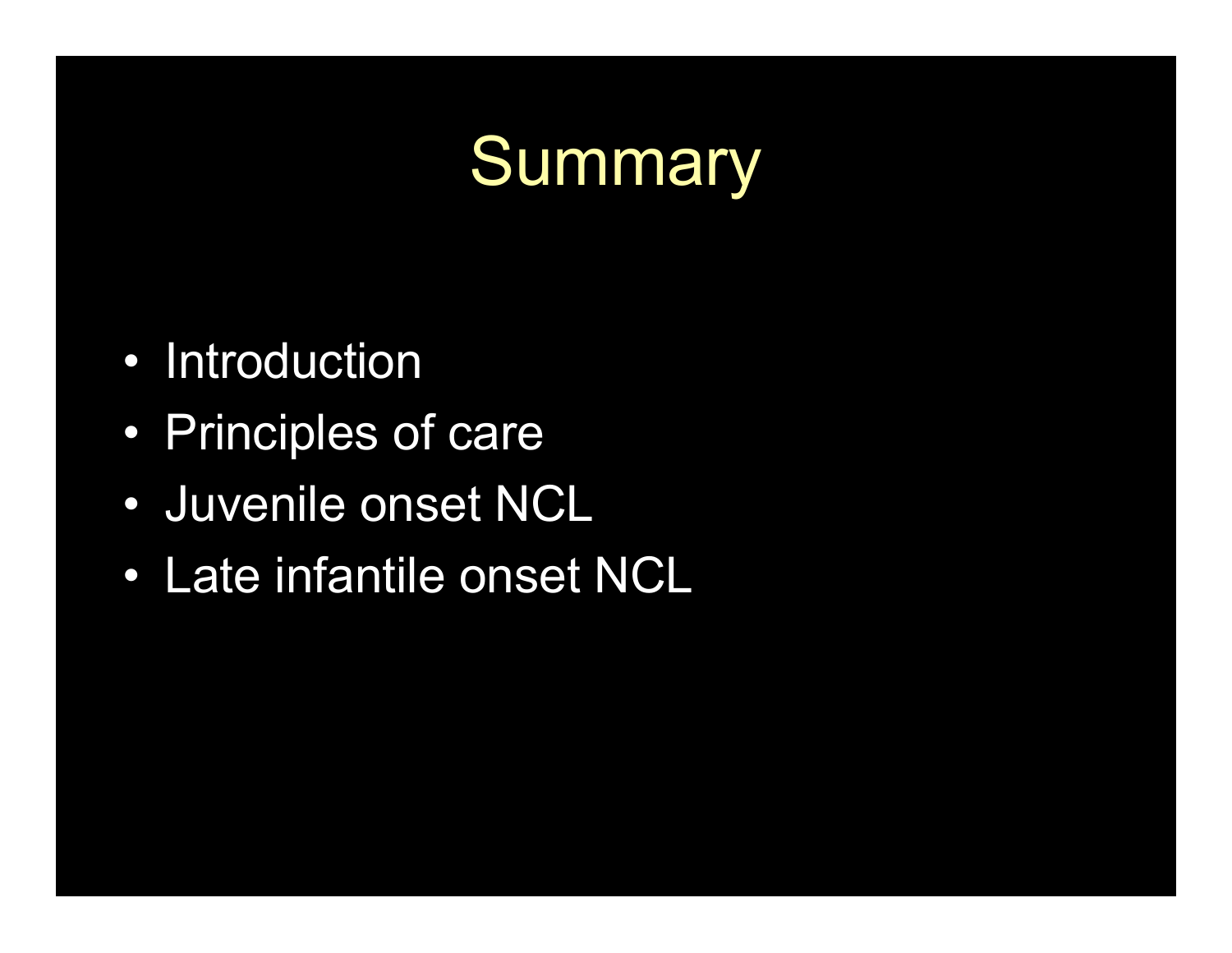## Summary

- Introduction
- Principles of care
- Juvenile onset NCL
- Late infantile onset NCL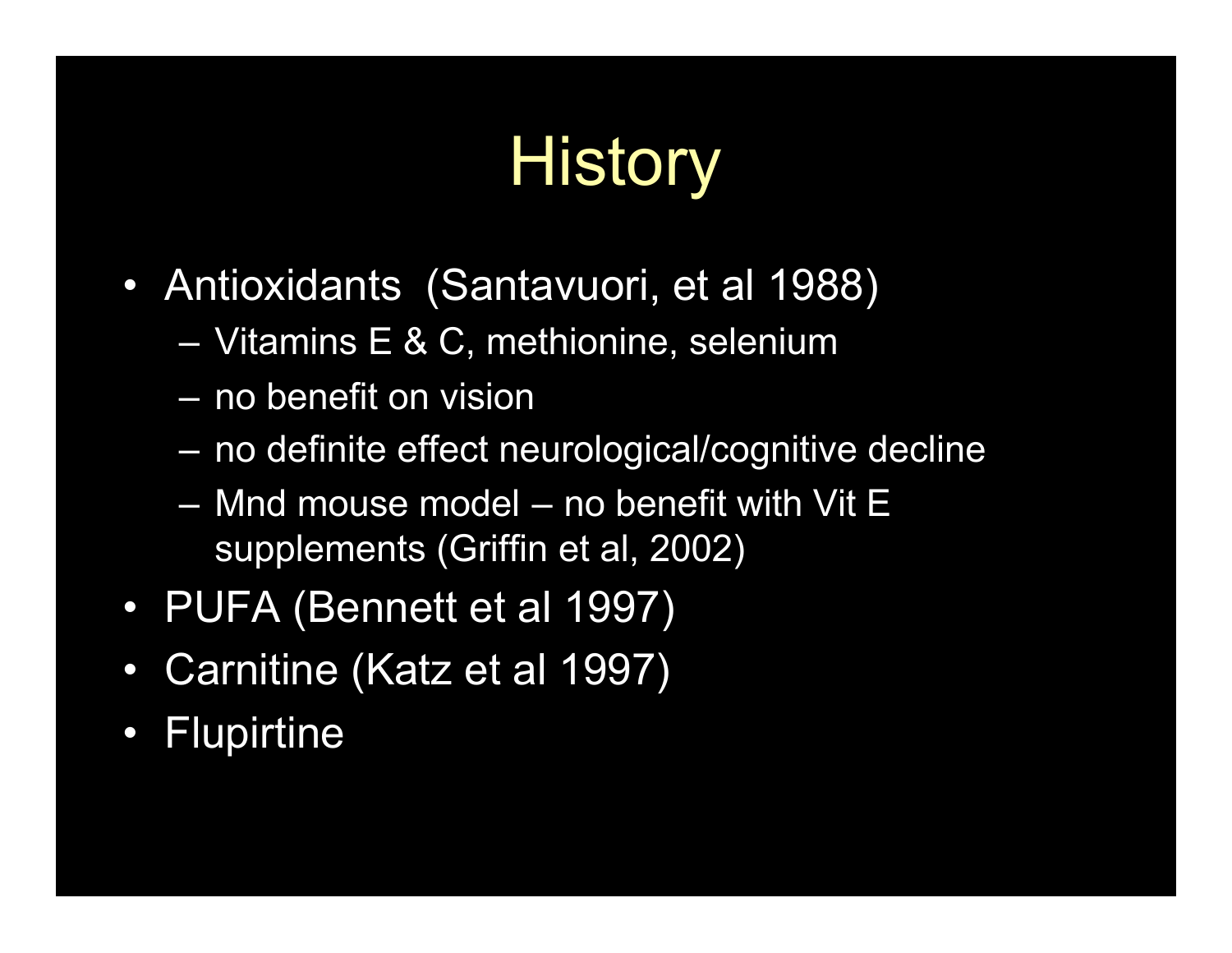# **History**

- Antioxidants (Santavuori, et al 1988)
	- Vitamins E & C, methionine, selenium
	- no benefit on vision
	- no definite effect neurological/cognitive decline
	- Mnd mouse model no benefit with Vit E supplements (Griffin et al, 2002)
- PUFA (Bennett et al 1997)
- Carnitine (Katz et al 1997)
- Flupirtine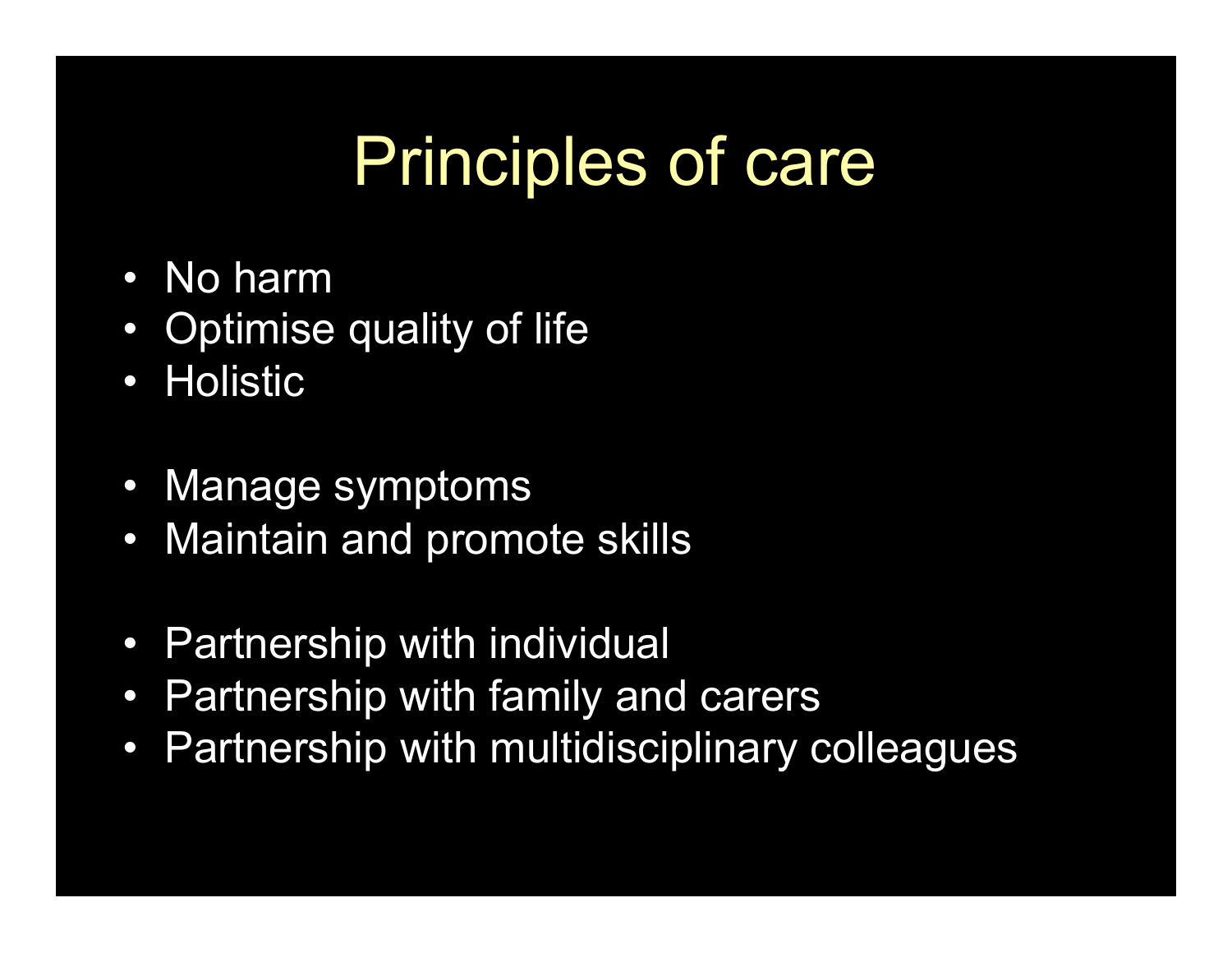## Principles of care

- No harm
- Optimise quality of life
- Holistic
- Manage symptoms
- Maintain and promote skills
- Partnership with individual
- Partnership with family and carers
- Partnership with multidisciplinary colleagues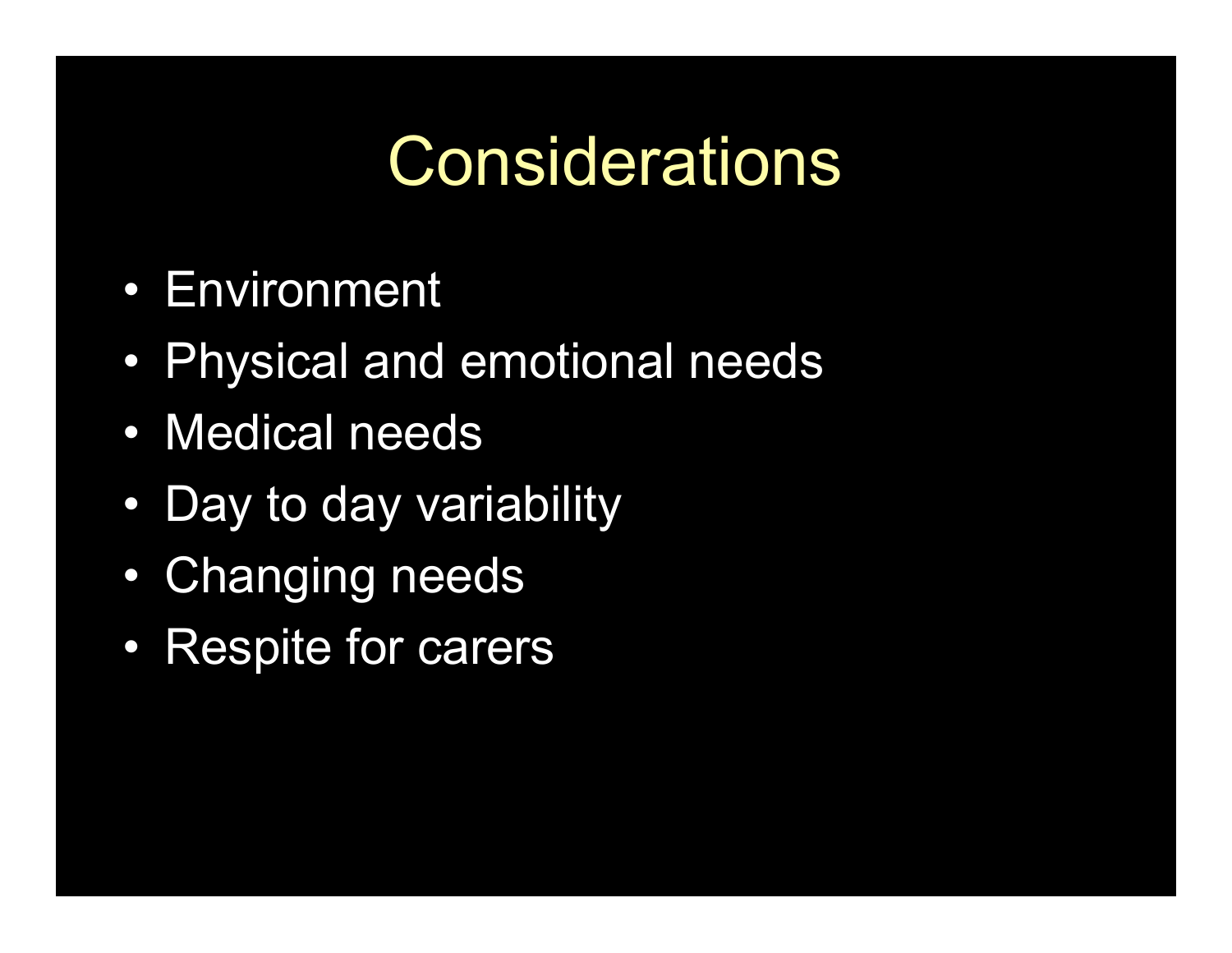## **Considerations**

- Environment
- Physical and emotional needs
- Medical needs
- Day to day variability
- Changing needs
- Respite for carers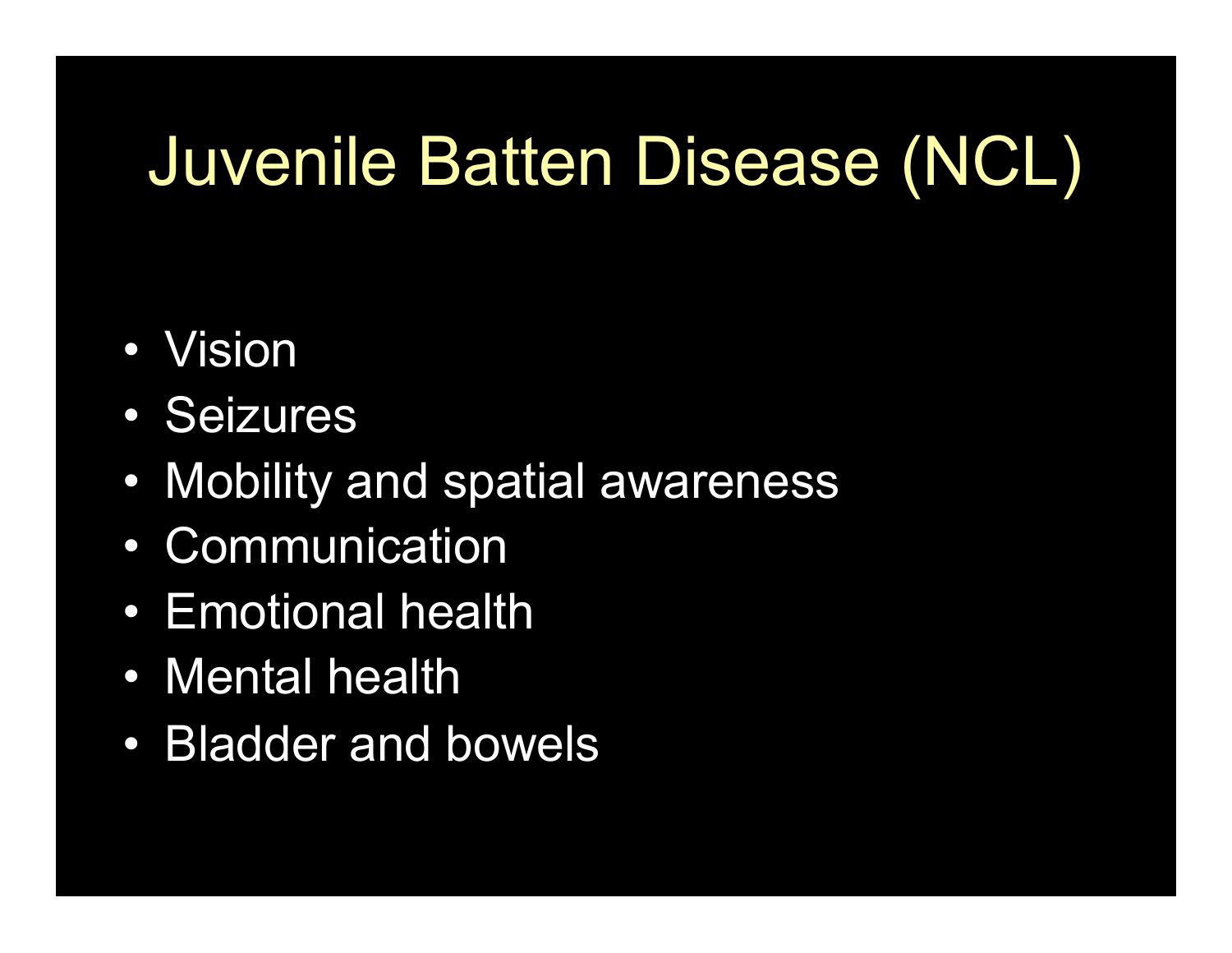## Juvenile Batten Disease (NCL)

- Vision
- Seizures
- Mobility and spatial awareness
- Communication
- Emotional health
- Mental health
- Bladder and bowels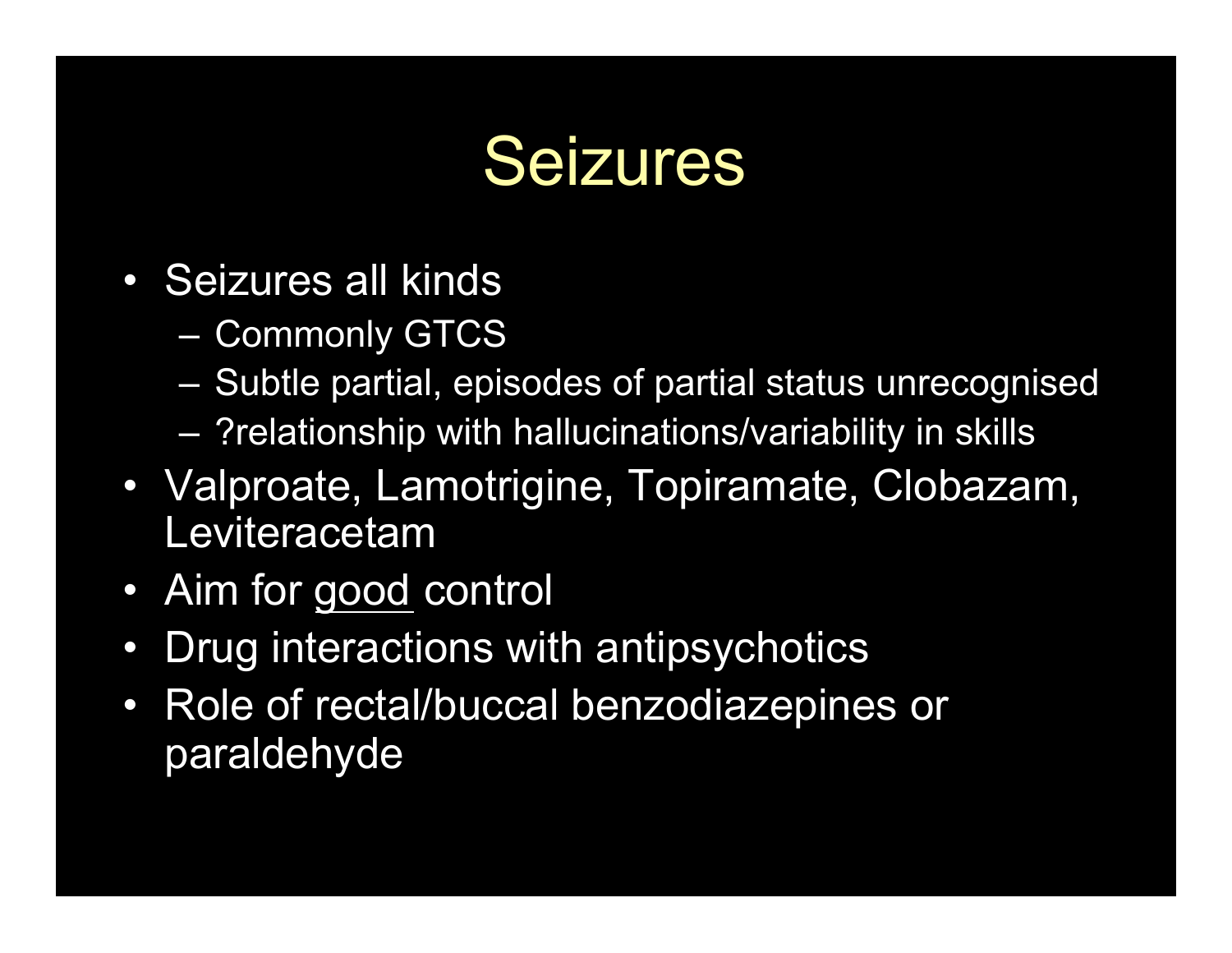#### Seizures

- Seizures all kinds
	- Commonly GTCS
	- Subtle partial, episodes of partial status unrecognised
	- ?relationship with hallucinations/variability in skills
- Valproate, Lamotrigine, Topiramate, Clobazam, Leviteracetam
- Aim for good control
- Drug interactions with antipsychotics
- Role of rectal/buccal benzodiazepines or paraldehyde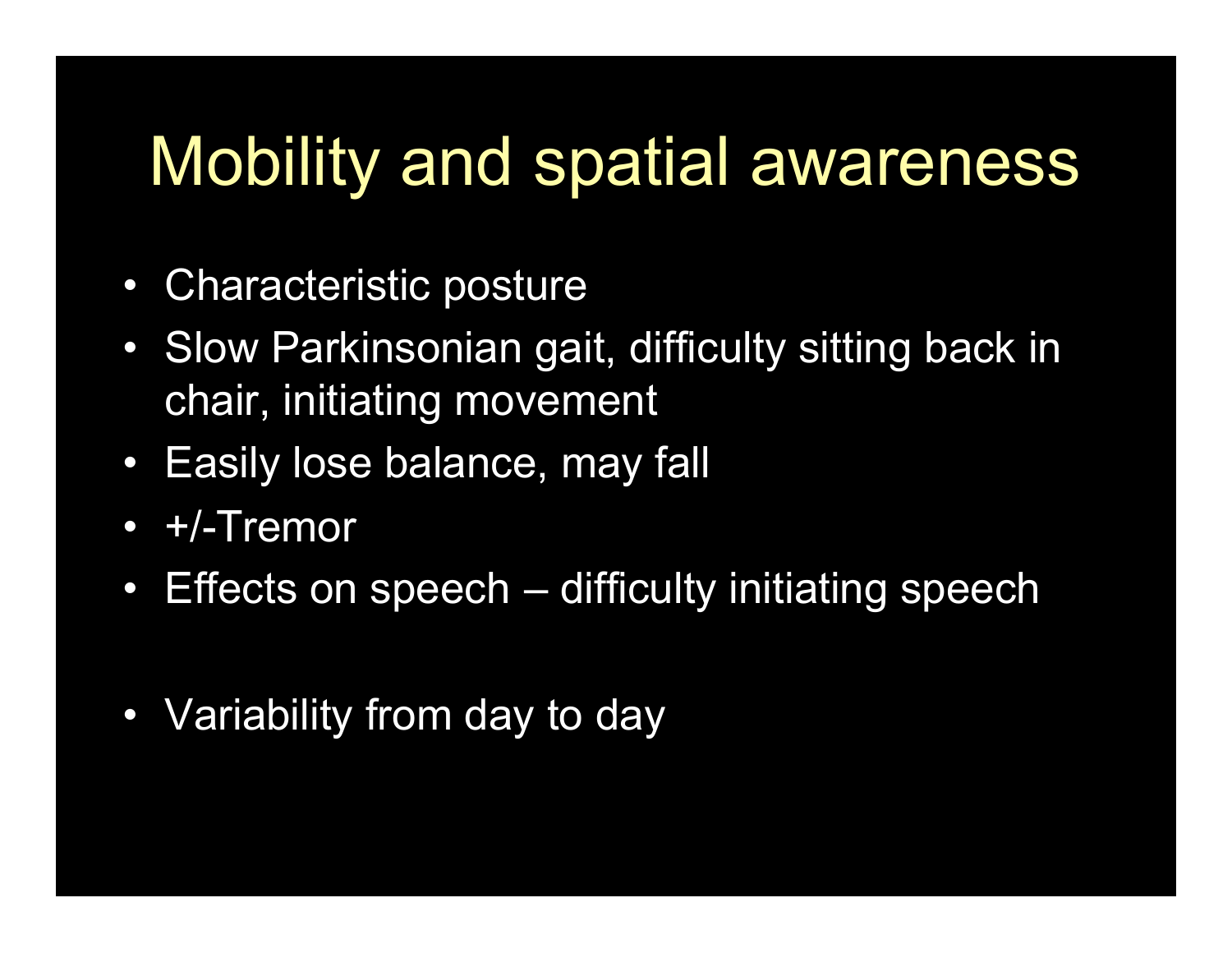### Mobility and spatial awareness

- Characteristic posture
- Slow Parkinsonian gait, difficulty sitting back in chair, initiating movement
- Easily lose balance, may fall
- +/-Tremor
- Effects on speech difficulty initiating speech
- Variability from day to day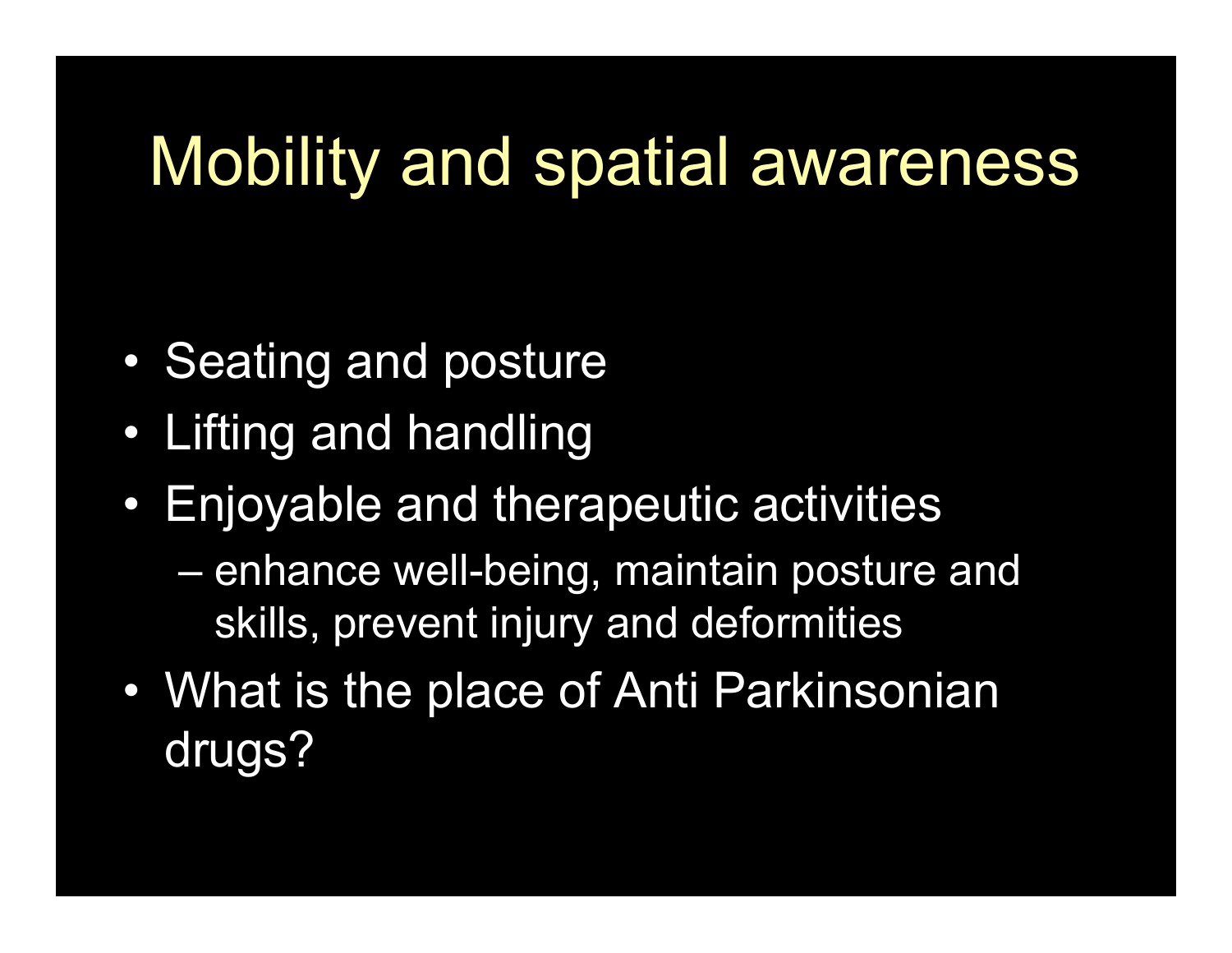#### Mobility and spatial awareness

- Seating and posture
- Lifting and handling
- Enjoyable and therapeutic activities
	- enhance well-being, maintain posture and skills, prevent injury and deformities
- What is the place of Anti Parkinsonian drugs?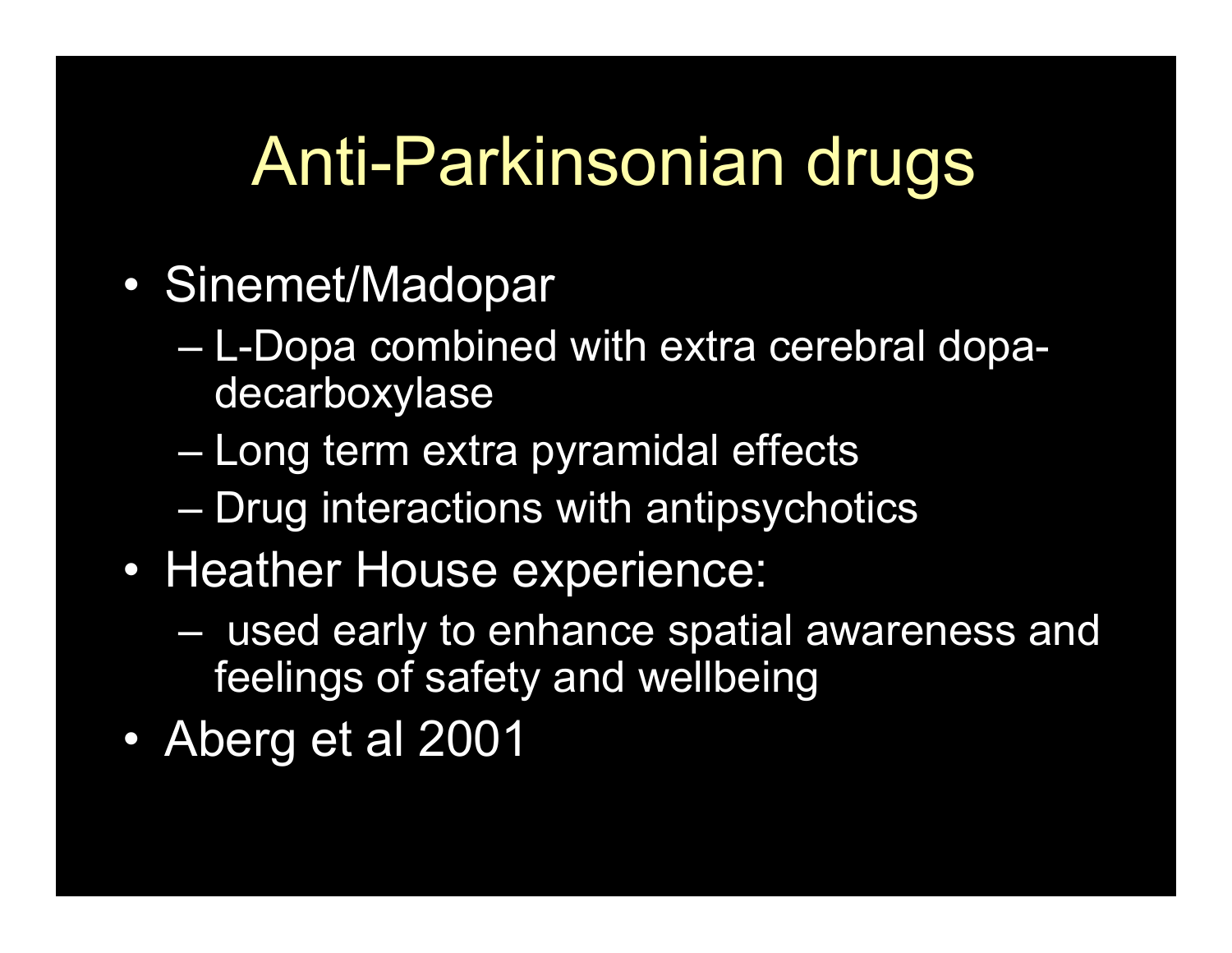## Anti-Parkinsonian drugs

- Sinemet/Madopar
	- L-Dopa combined with extra cerebral dopadecarboxylase
	- Long term extra pyramidal effects
	- Drug interactions with antipsychotics
- Heather House experience:
	- used early to enhance spatial awareness and feelings of safety and wellbeing
- Aberg et al 2001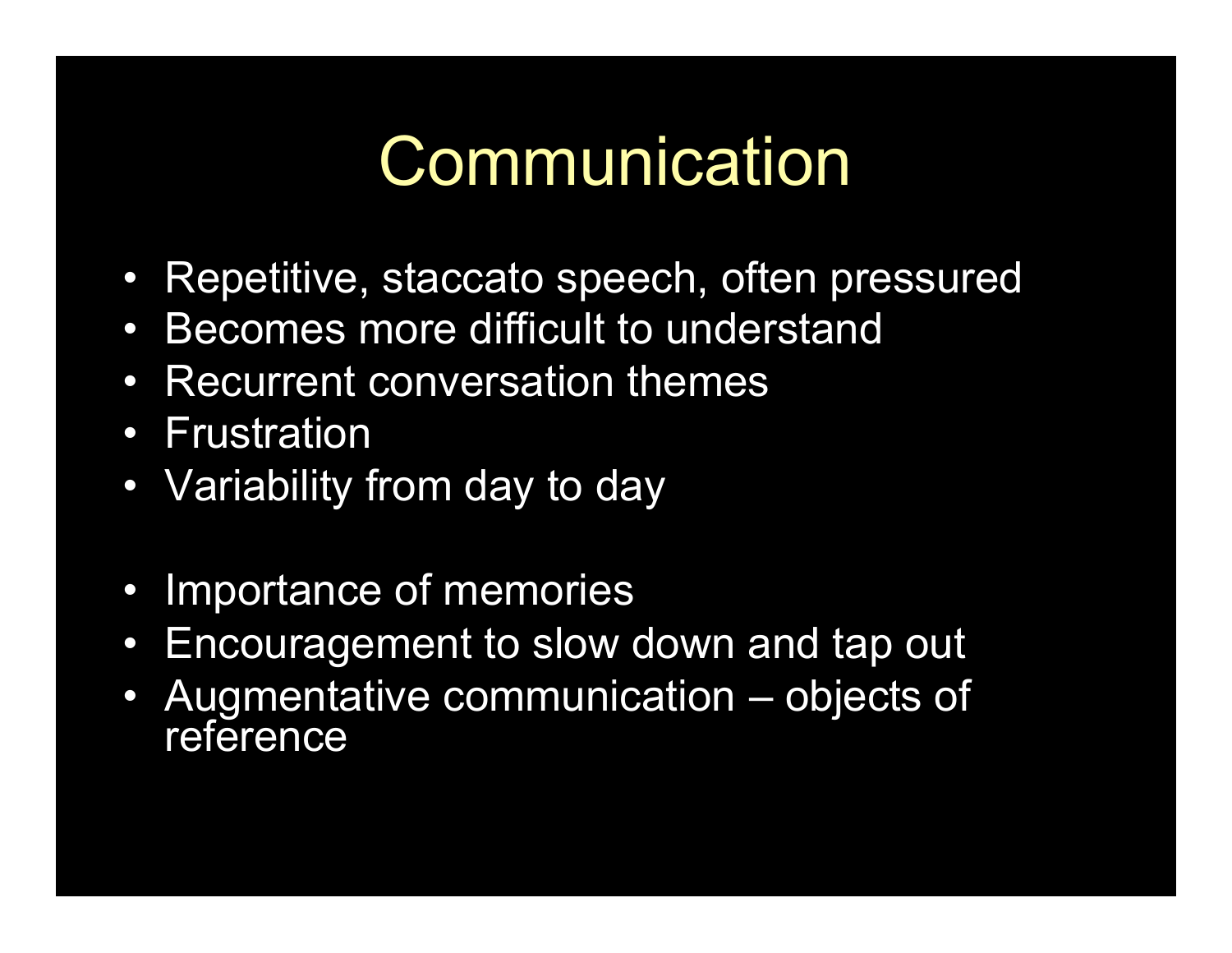### **Communication**

- Repetitive, staccato speech, often pressured
- Becomes more difficult to understand
- Recurrent conversation themes
- Frustration
- Variability from day to day
- Importance of memories
- Encouragement to slow down and tap out
- Augmentative communication objects of reference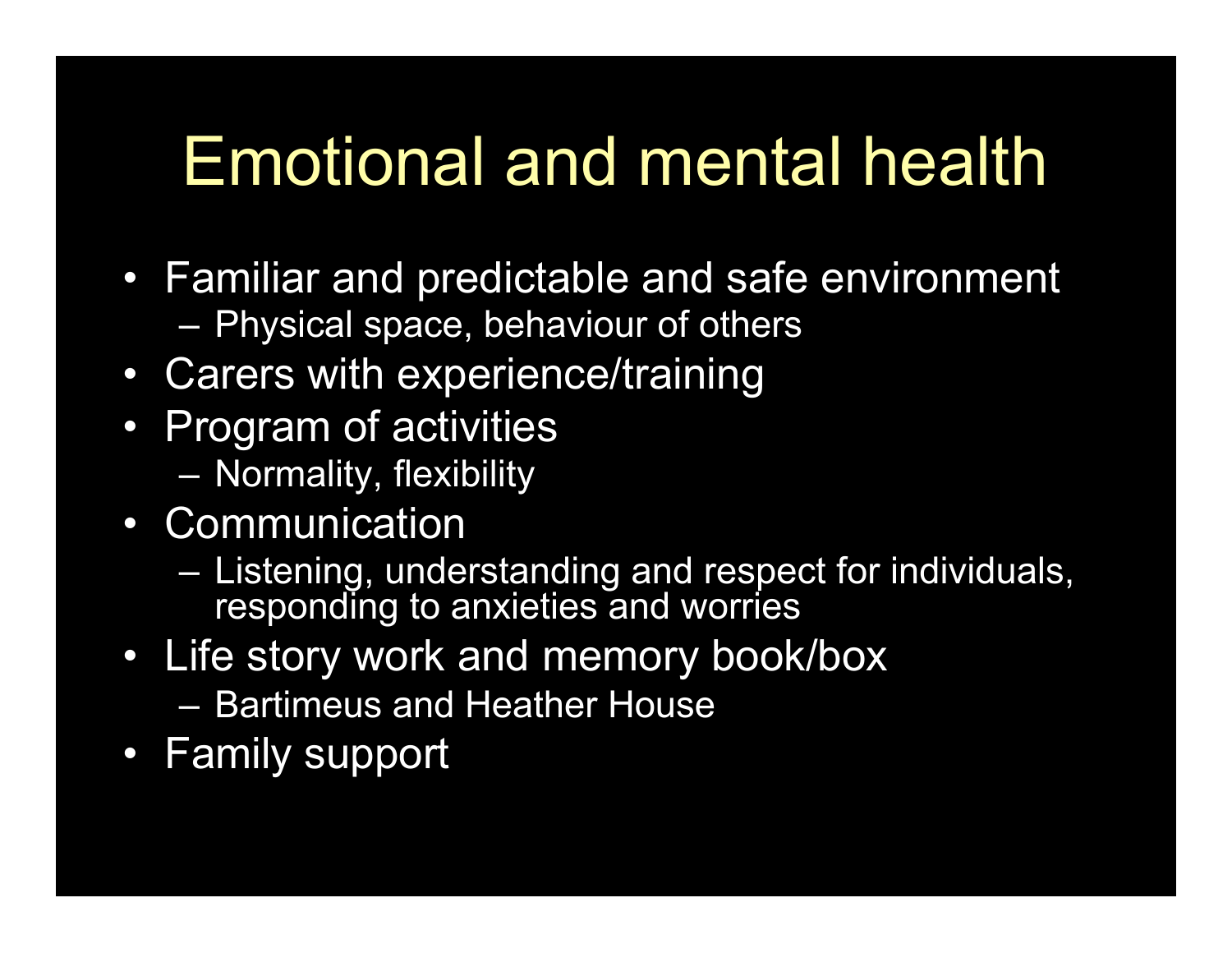## Emotional and mental health

- Familiar and predictable and safe environment – Physical space, behaviour of others
- Carers with experience/training
- Program of activities
	- Normality, flexibility
- Communication
	- Listening, understanding and respect for individuals, responding to anxieties and worries
- Life story work and memory book/box
	- Bartimeus and Heather House
- Family support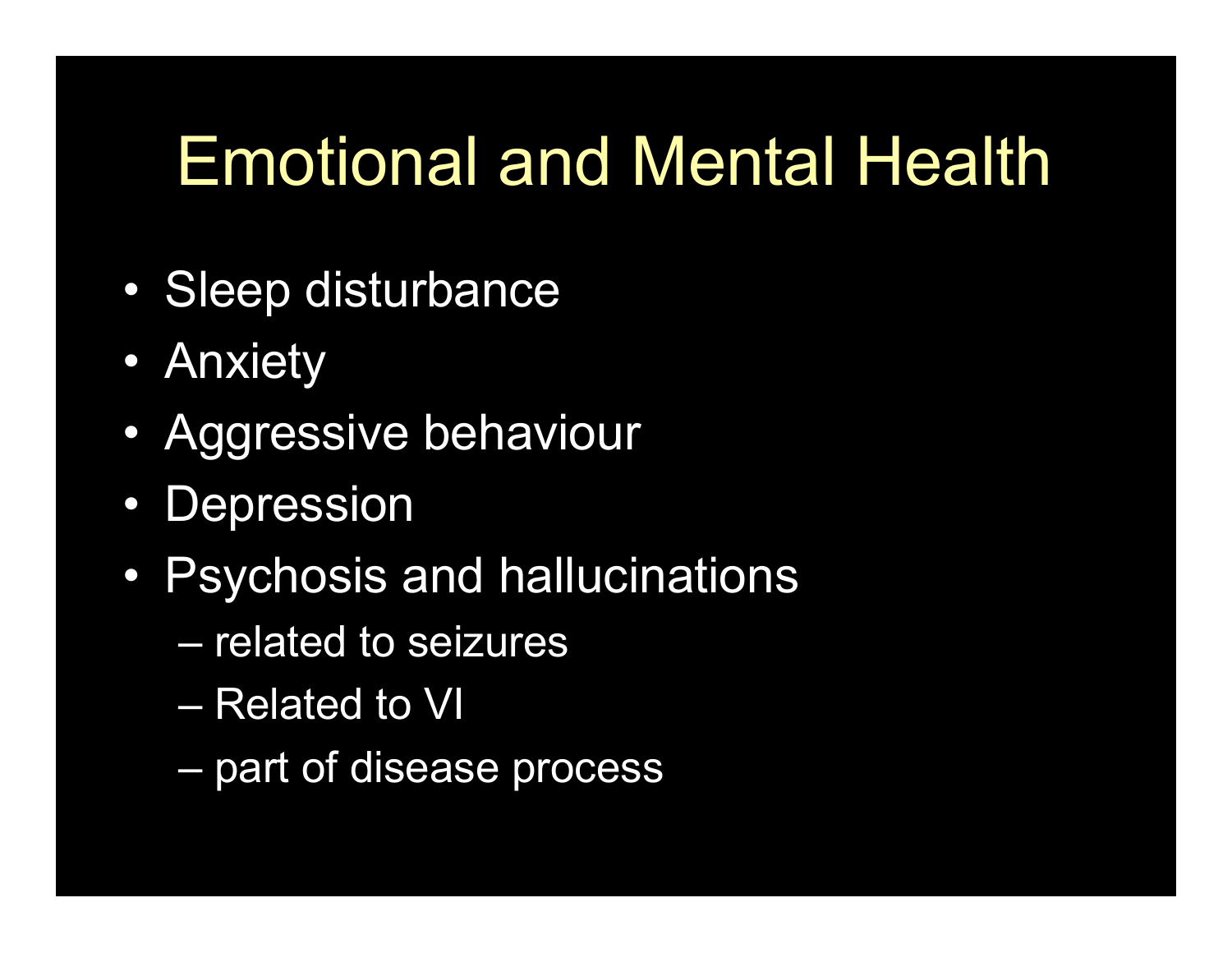## Emotional and Mental Health

- Sleep disturbance
- Anxiety
- Aggressive behaviour
- Depression
- Psychosis and hallucinations
	- related to seizures
	- Related to VI
	- part of disease process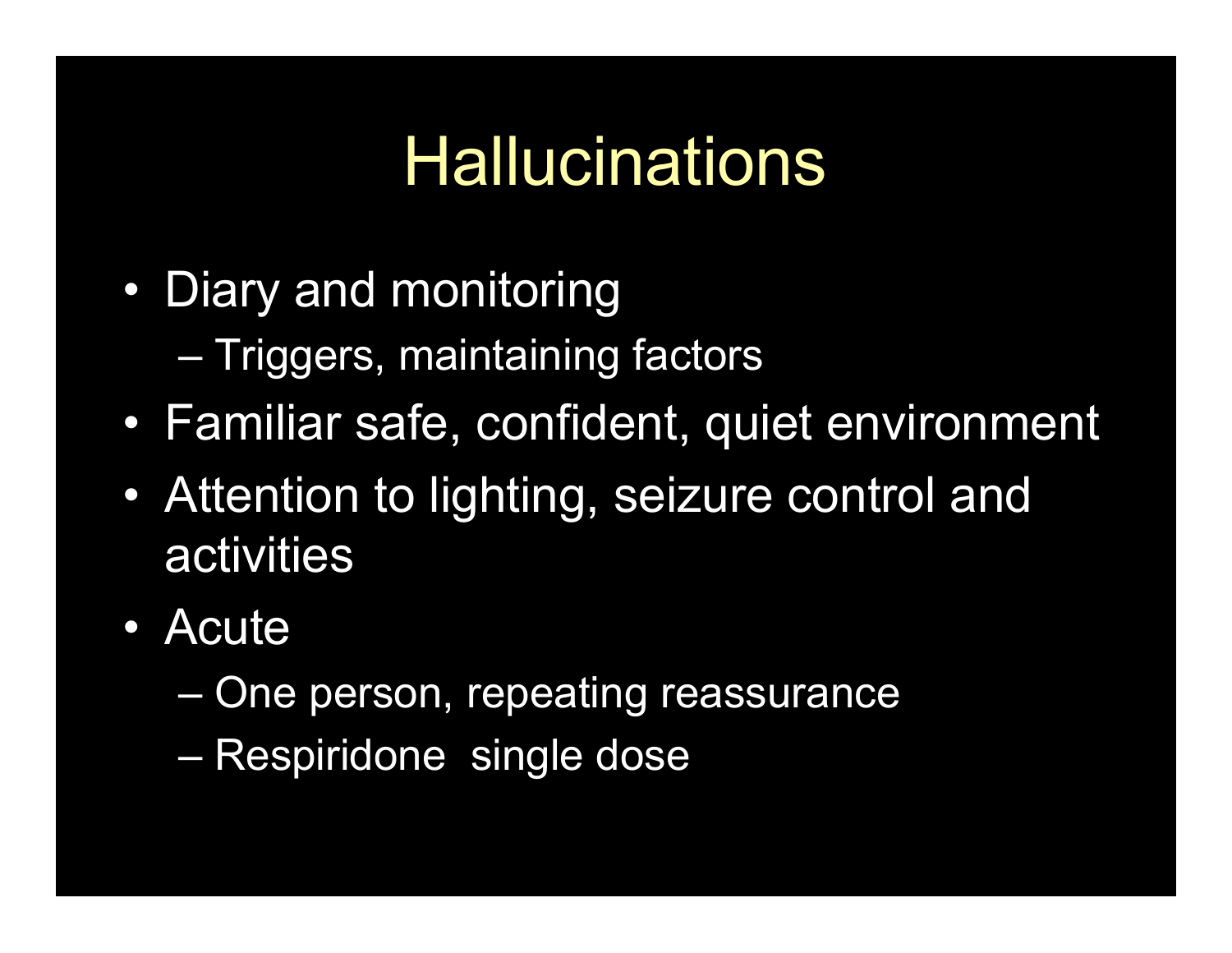## **Hallucinations**

- Diary and monitoring
	- Triggers, maintaining factors
- Familiar safe, confident, quiet environment
- Attention to lighting, seizure control and activities
- Acute
	- One person, repeating reassurance
	- Respiridone single dose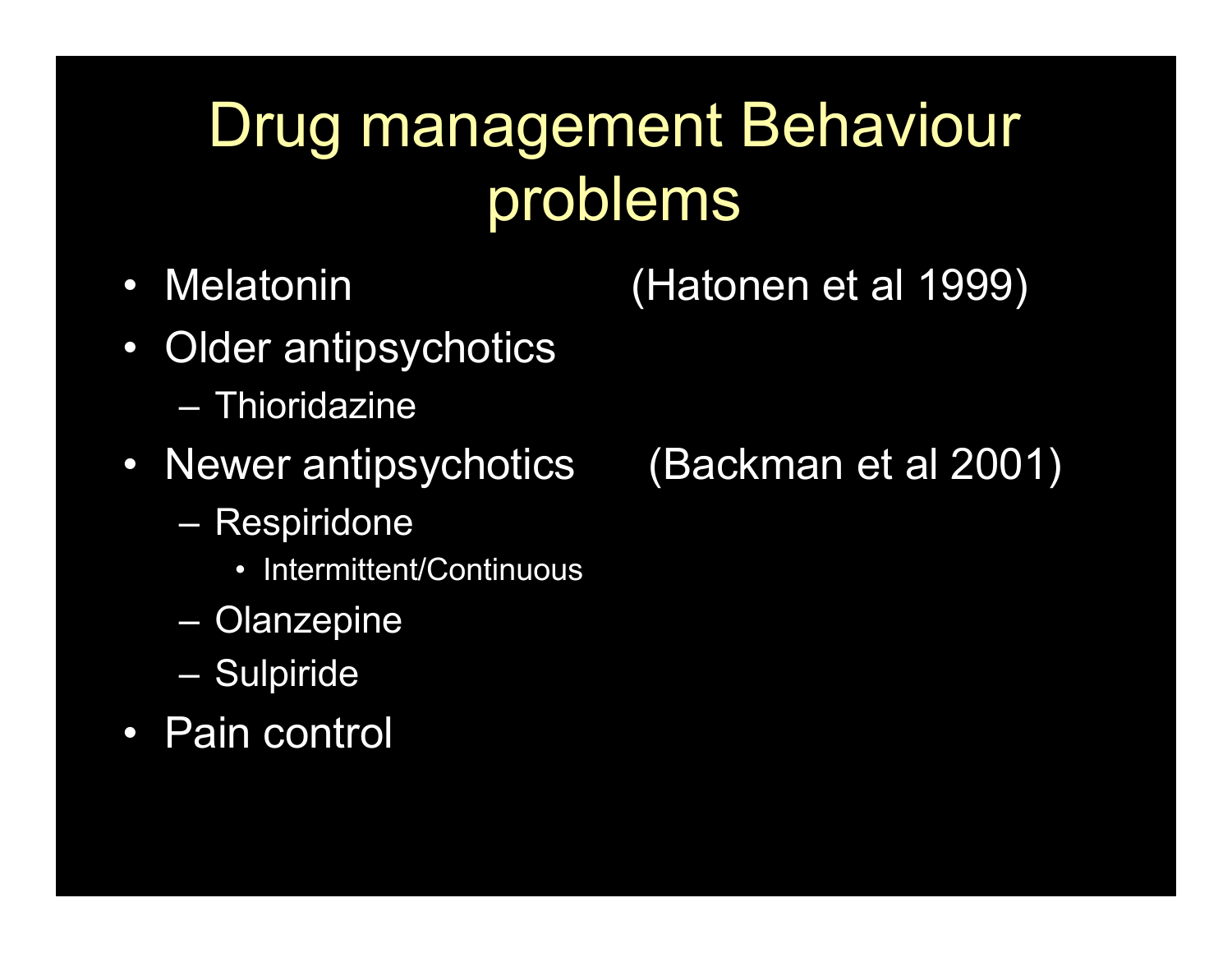### Drug management Behaviour problems

• Melatonin (Hatonen et al 1999)

- Older antipsychotics – Thioridazine
- Newer antipsychotics (Backman et al 2001)
	- Respiridone
		- Intermittent/Continuous
	- Olanzepine
	- Sulpiride
- Pain control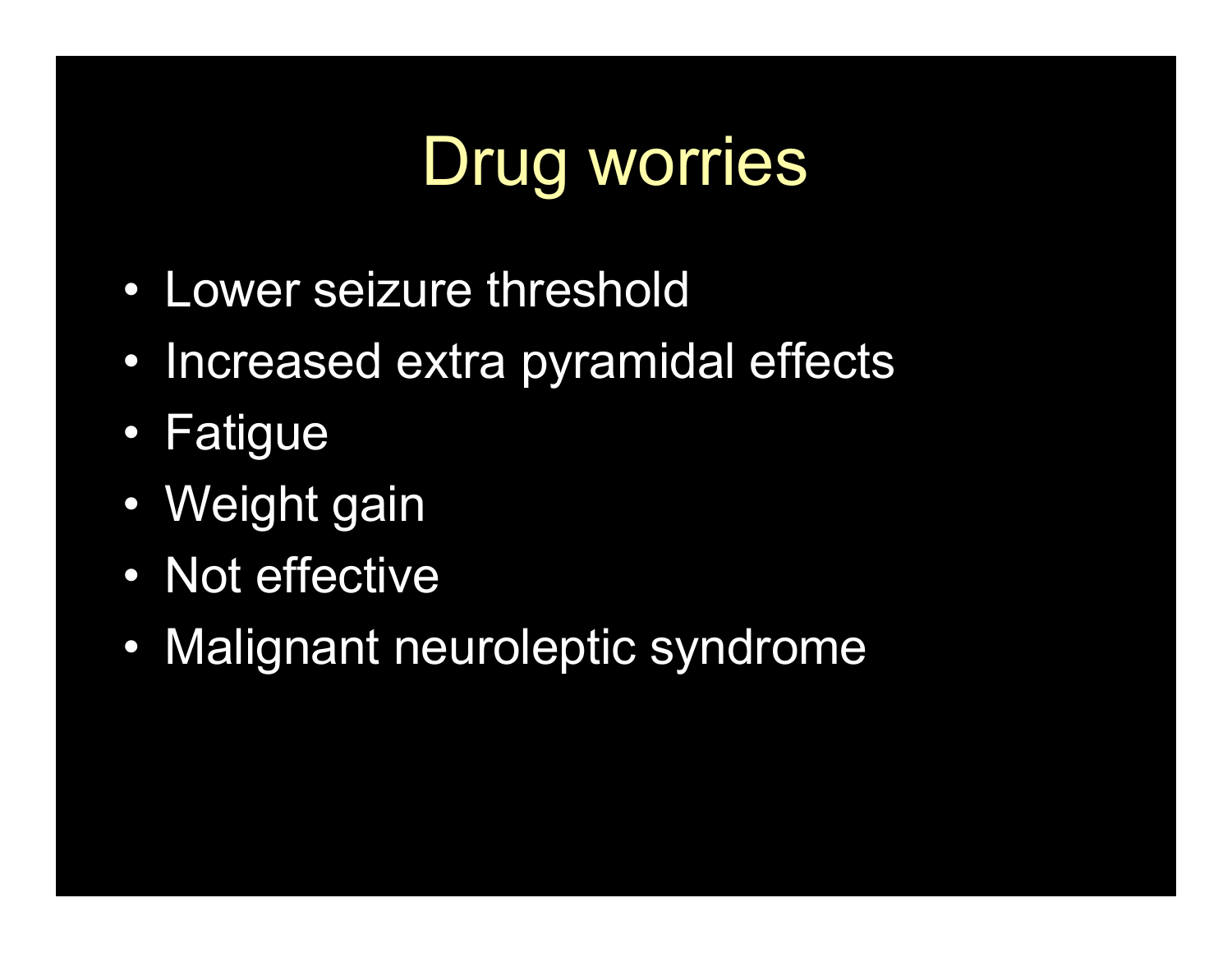## Drug worries

- Lower seizure threshold
- Increased extra pyramidal effects
- Fatigue
- Weight gain
- Not effective
- Malignant neuroleptic syndrome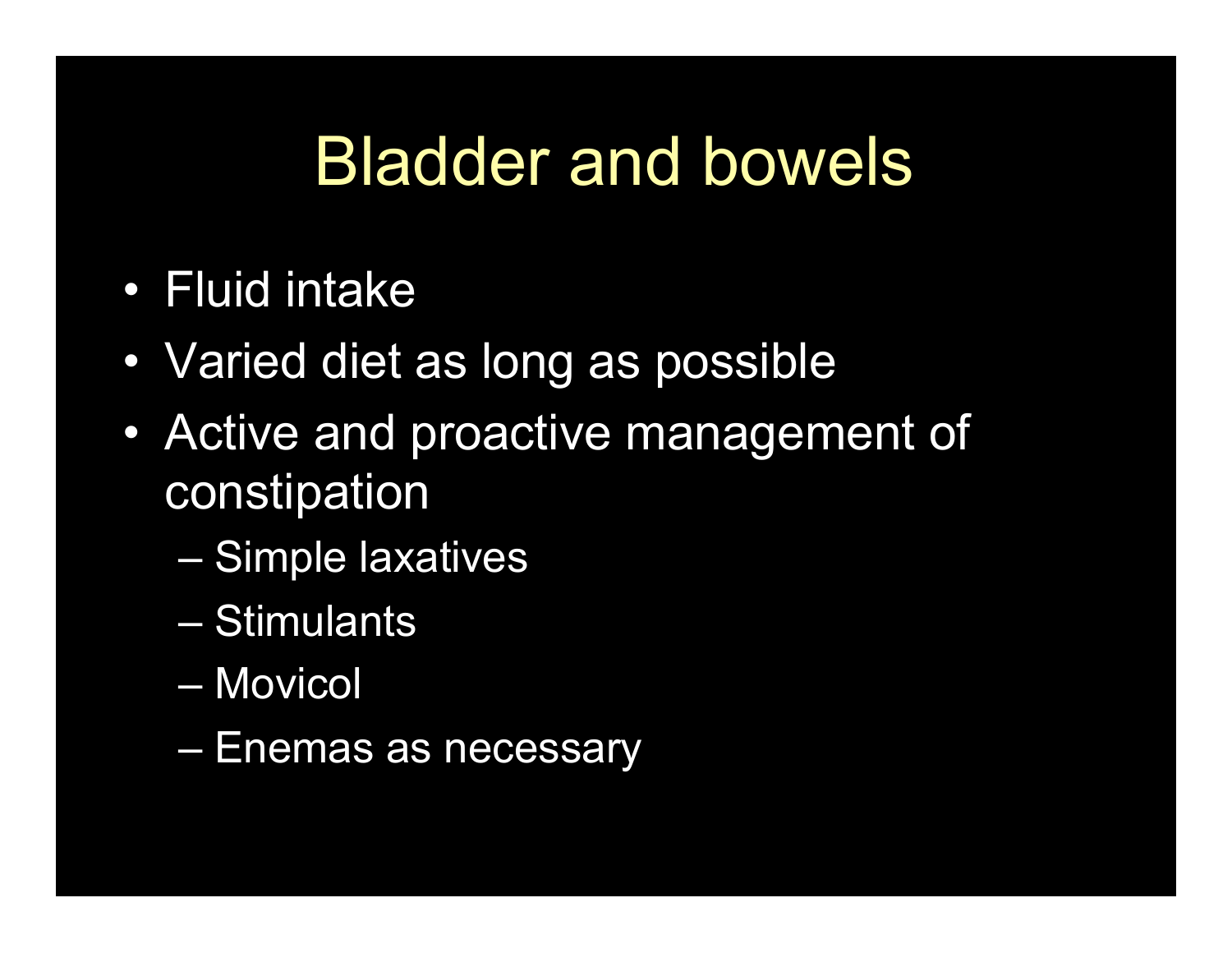#### Bladder and bowels

- Fluid intake
- Varied diet as long as possible
- Active and proactive management of constipation
	- Simple laxatives
	- Stimulants
	- Movicol
	- Enemas as necessary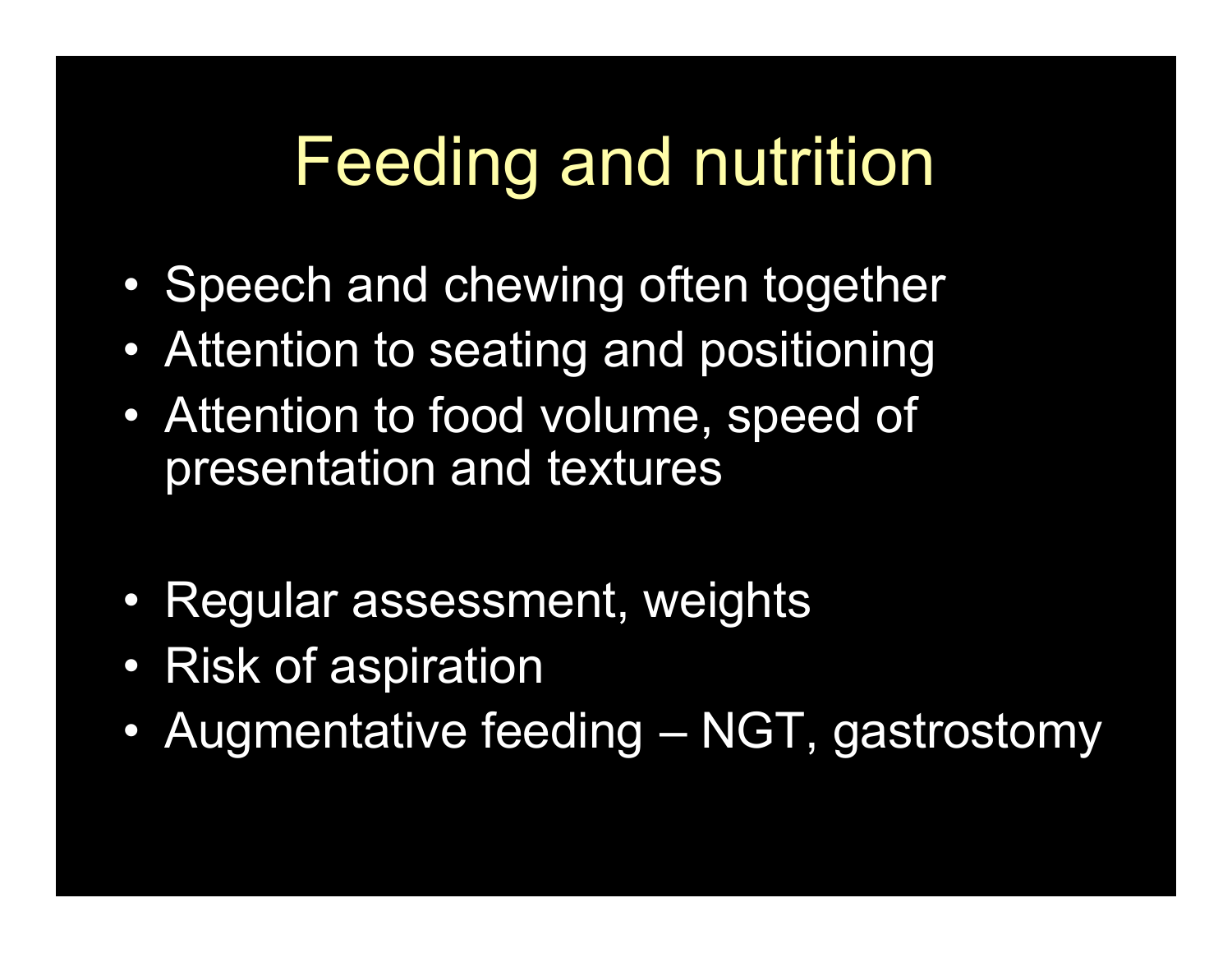#### Feeding and nutrition

- Speech and chewing often together
- Attention to seating and positioning
- Attention to food volume, speed of presentation and textures
- Regular assessment, weights
- Risk of aspiration
- Augmentative feeding NGT, gastrostomy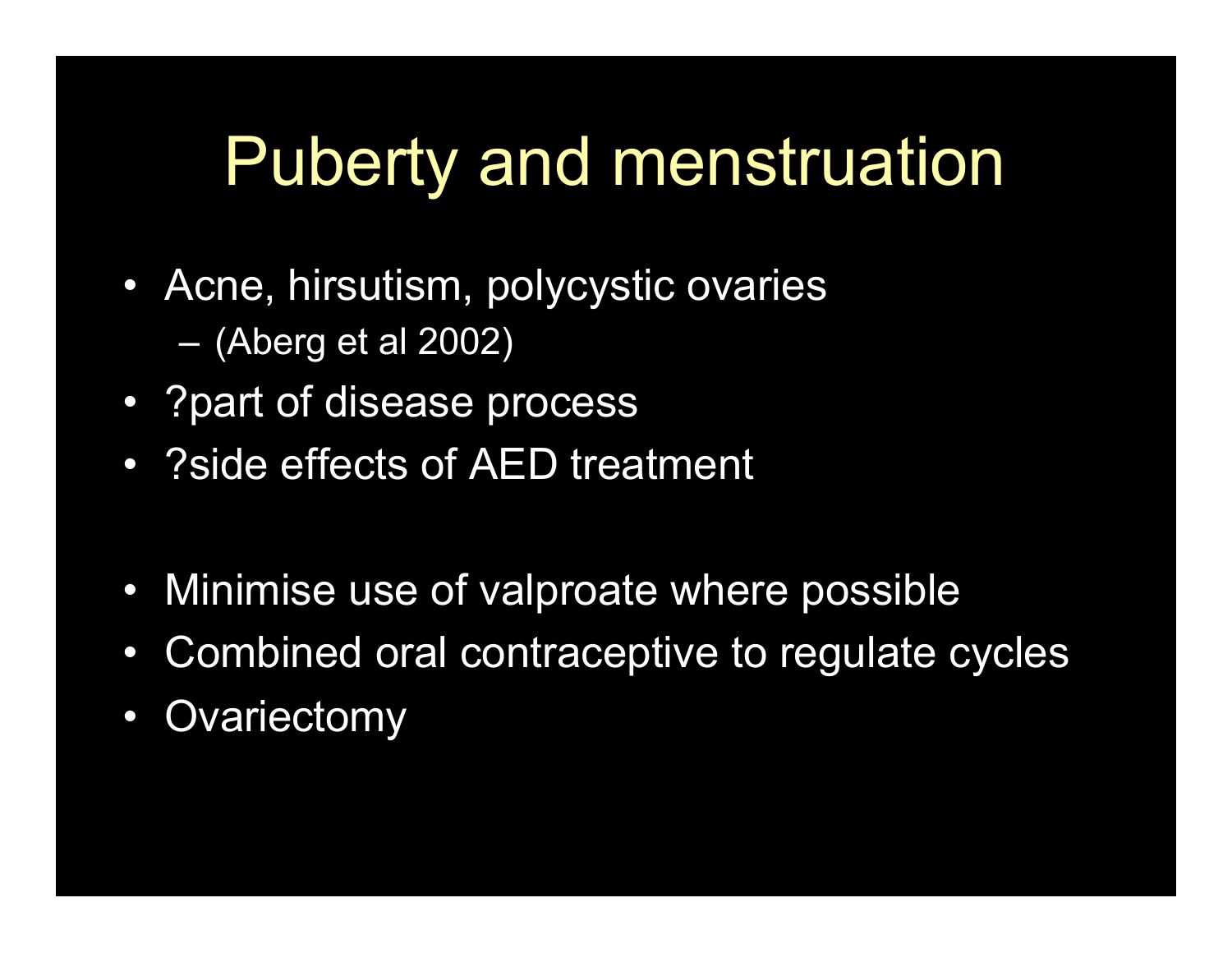## Puberty and menstruation

- Acne, hirsutism, polycystic ovaries – (Aberg et al 2002)
- ?part of disease process
- ?side effects of AED treatment
- Minimise use of valproate where possible
- Combined oral contraceptive to regulate cycles
- Ovariectomy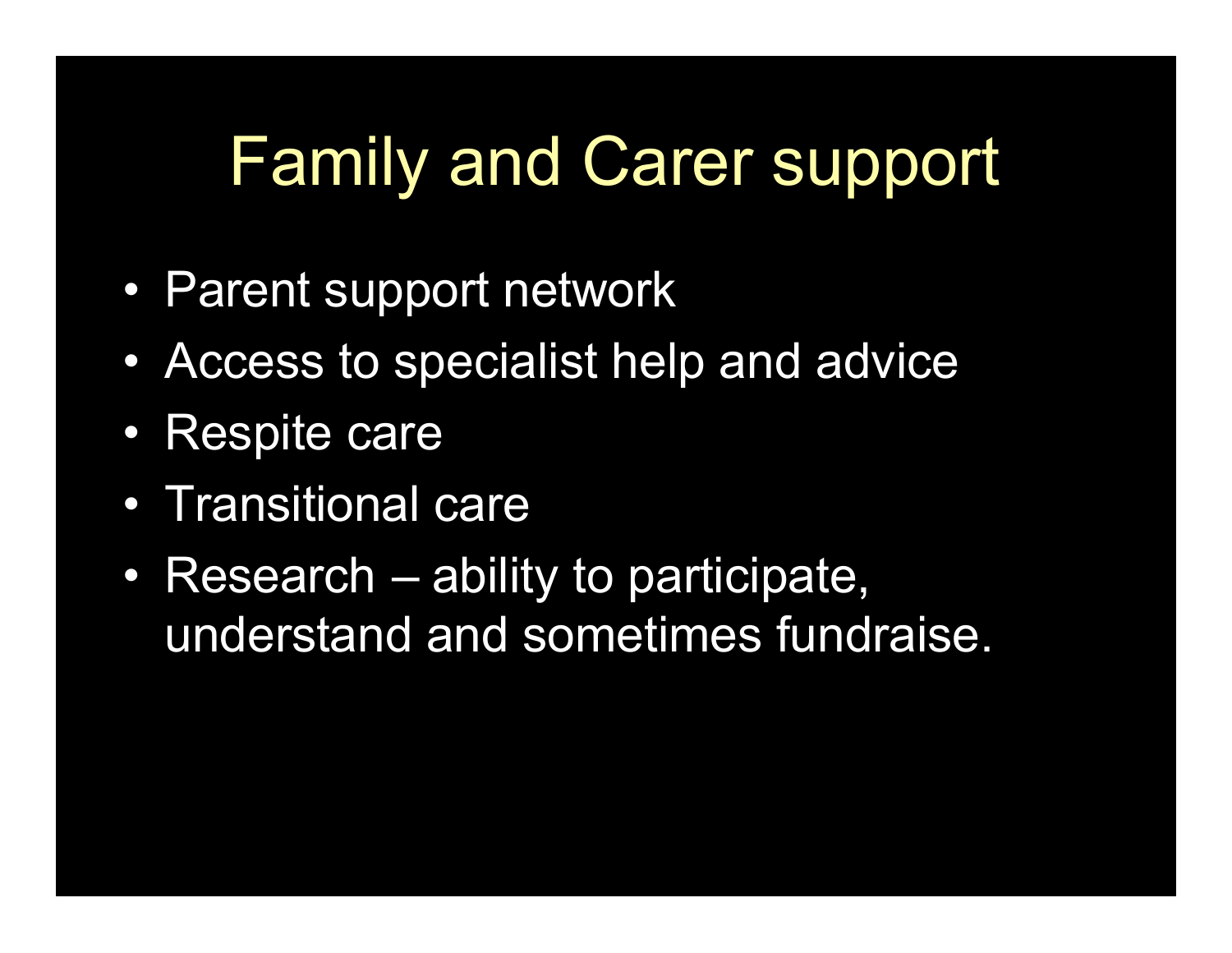## Family and Carer support

- Parent support network
- Access to specialist help and advice
- Respite care
- Transitional care
- Research ability to participate, understand and sometimes fundraise.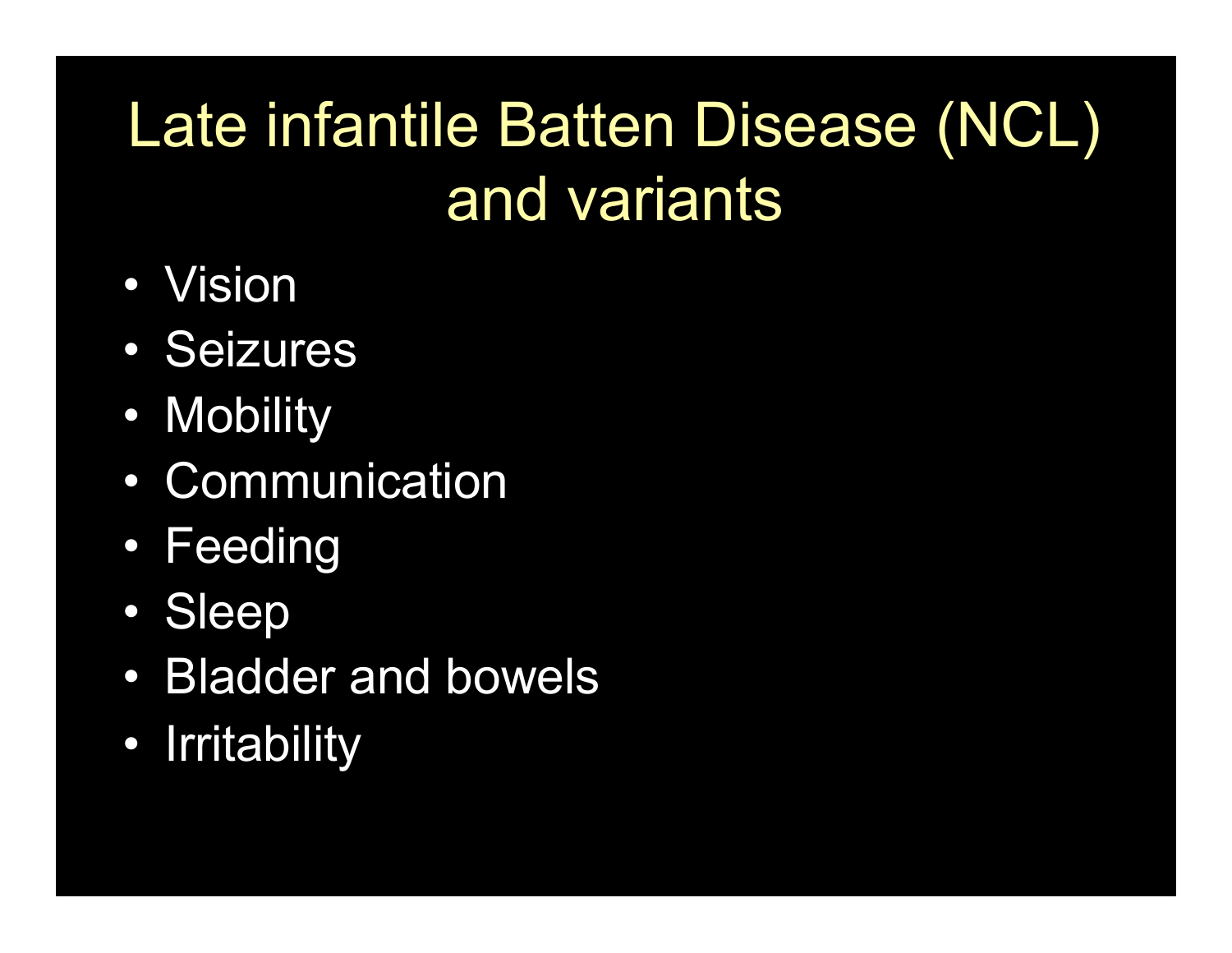## Late infantile Batten Disease (NCL) and variants

- Vision
- Seizures
- Mobility
- Communication
- Feeding
- Sleep
- Bladder and bowels
- Irritability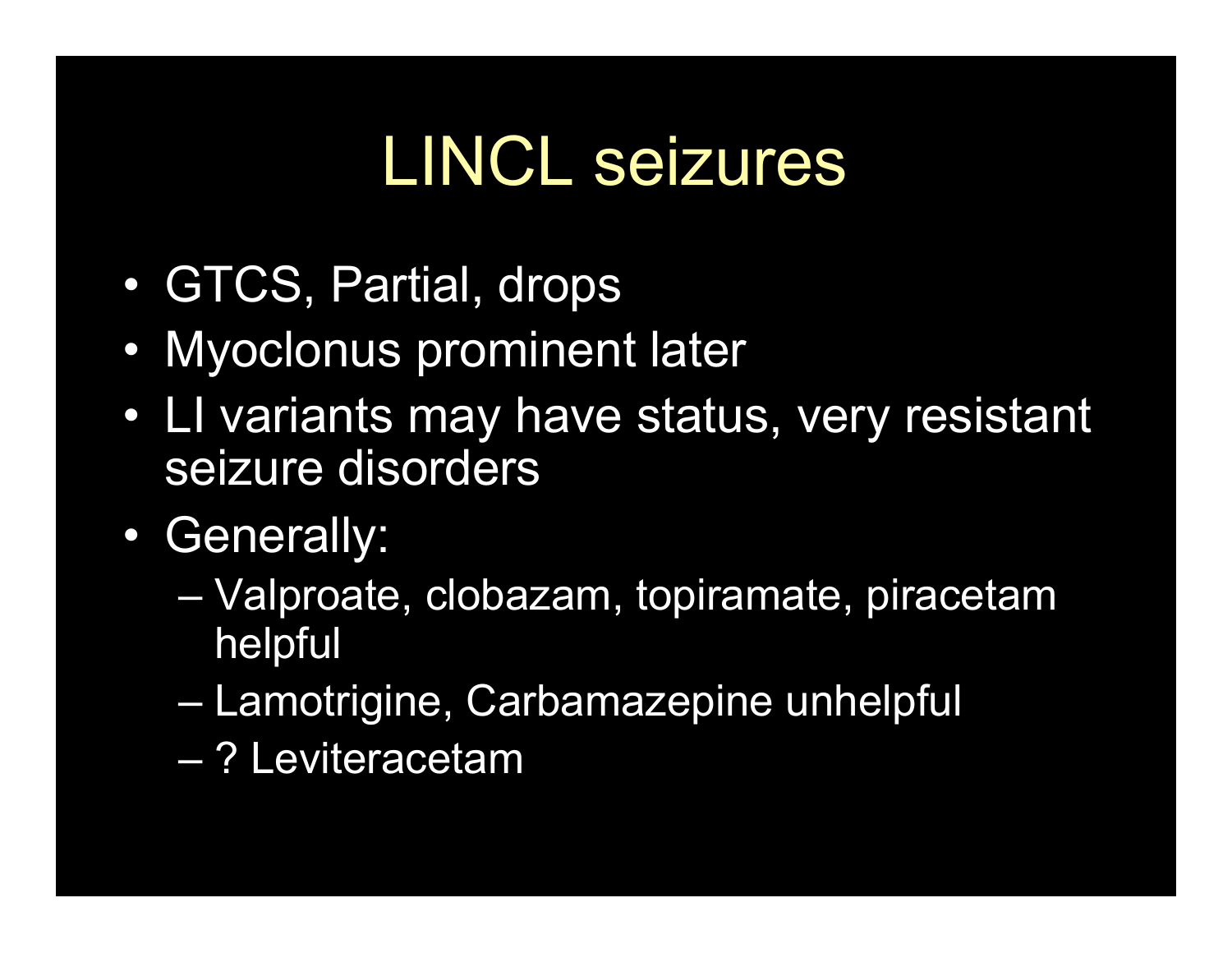### LINCL seizures

- GTCS, Partial, drops
- Myoclonus prominent later
- LI variants may have status, very resistant seizure disorders
- Generally:
	- Valproate, clobazam, topiramate, piracetam helpful
	- Lamotrigine, Carbamazepine unhelpful
	- ? Leviteracetam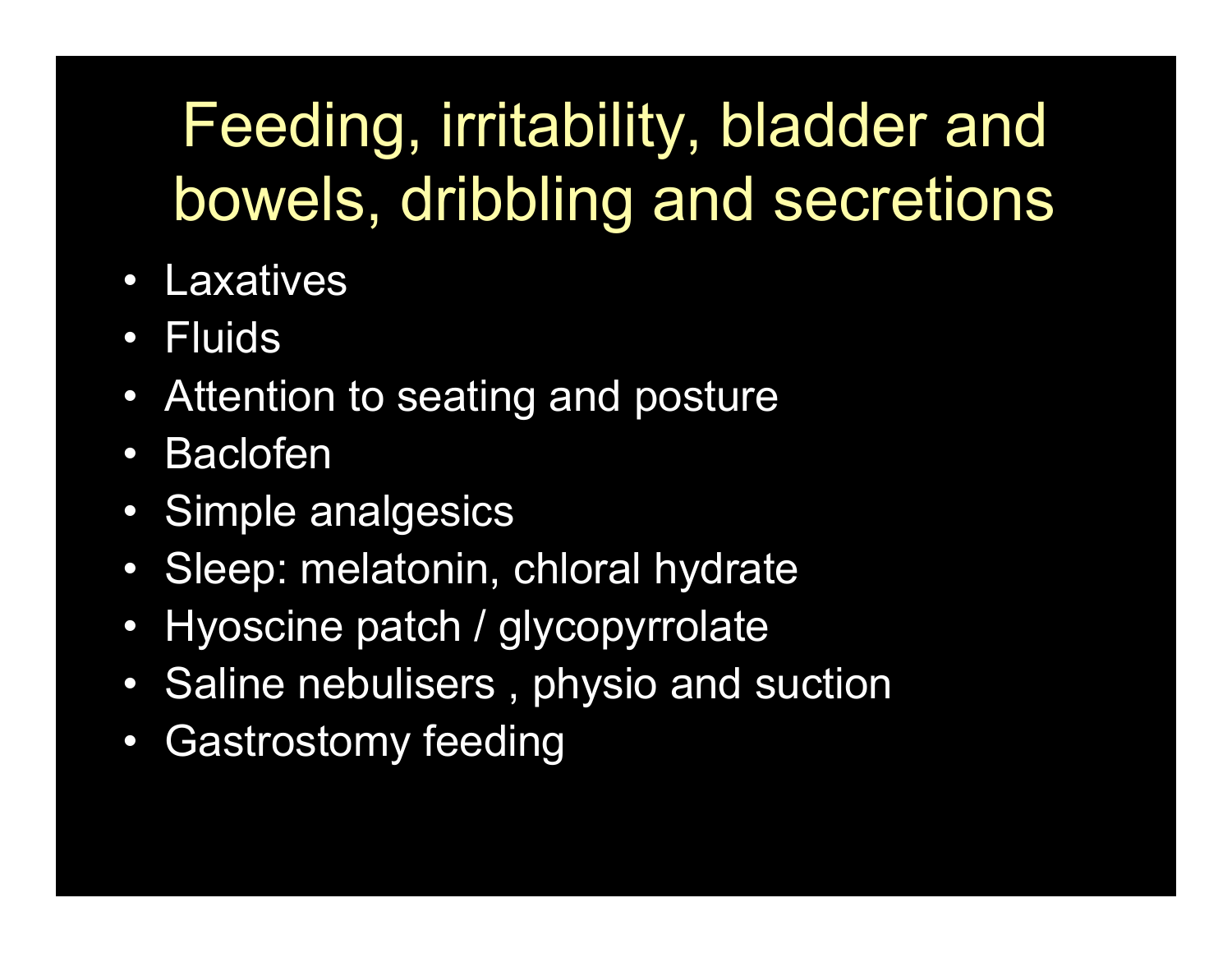#### Feeding, irritability, bladder and bowels, dribbling and secretions

- Laxatives
- Fluids
- Attention to seating and posture
- Baclofen
- Simple analgesics
- Sleep: melatonin, chloral hydrate
- Hyoscine patch / glycopyrrolate
- Saline nebulisers , physio and suction
- Gastrostomy feeding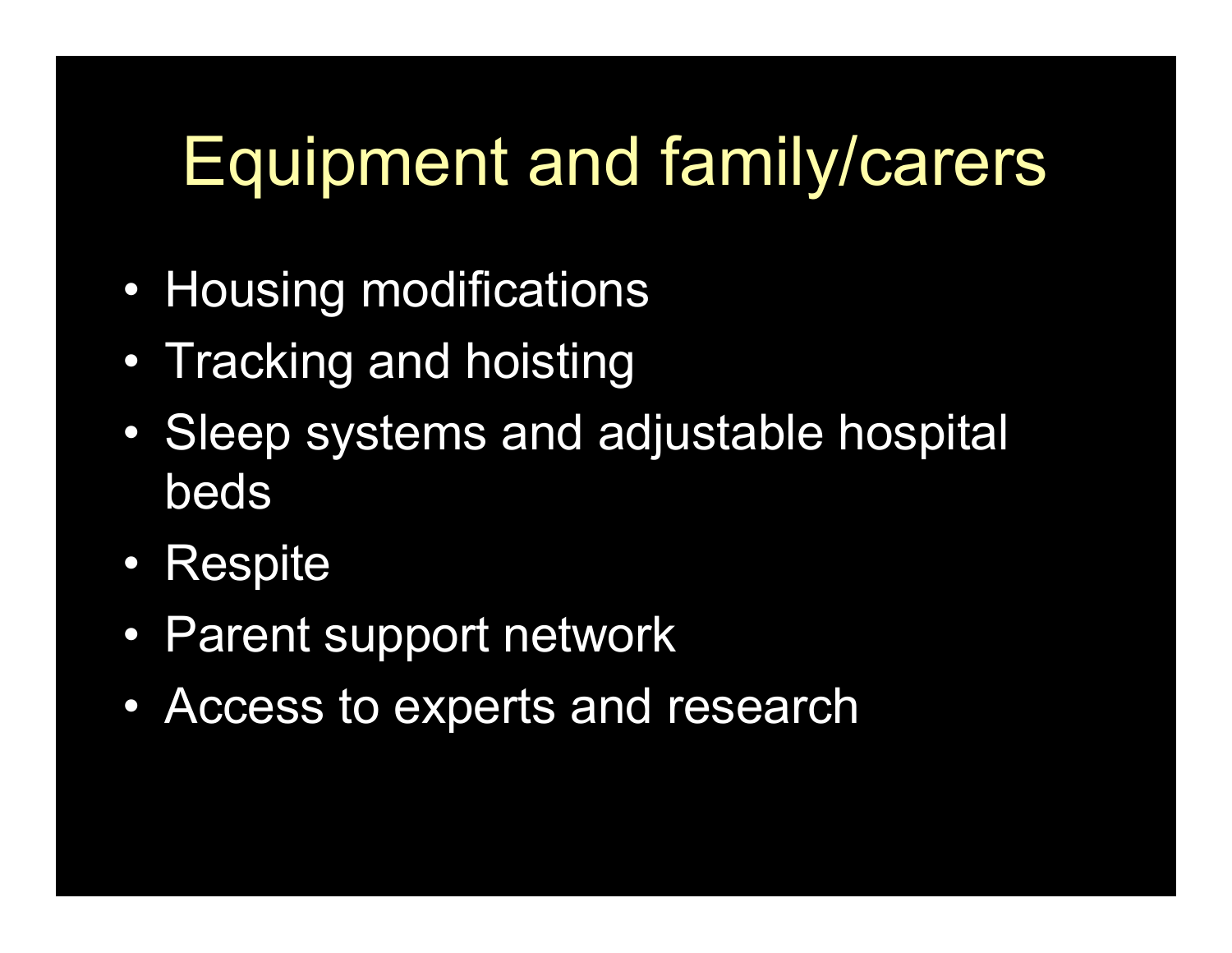## Equipment and family/carers

- Housing modifications
- Tracking and hoisting
- Sleep systems and adjustable hospital beds
- Respite
- Parent support network
- Access to experts and research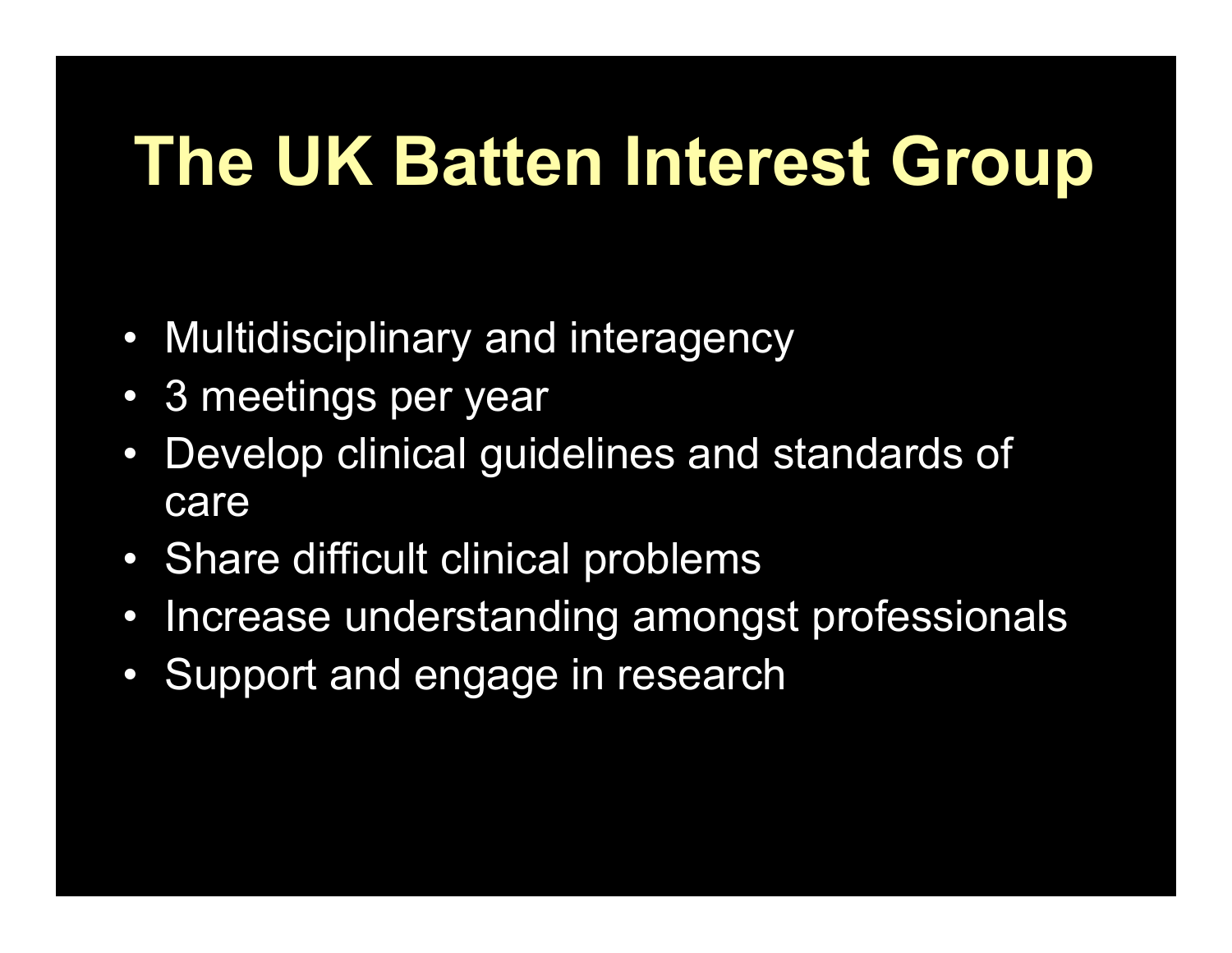## **The UK Batten Interest Group**

- Multidisciplinary and interagency
- 3 meetings per year
- Develop clinical guidelines and standards of care
- Share difficult clinical problems
- Increase understanding amongst professionals
- Support and engage in research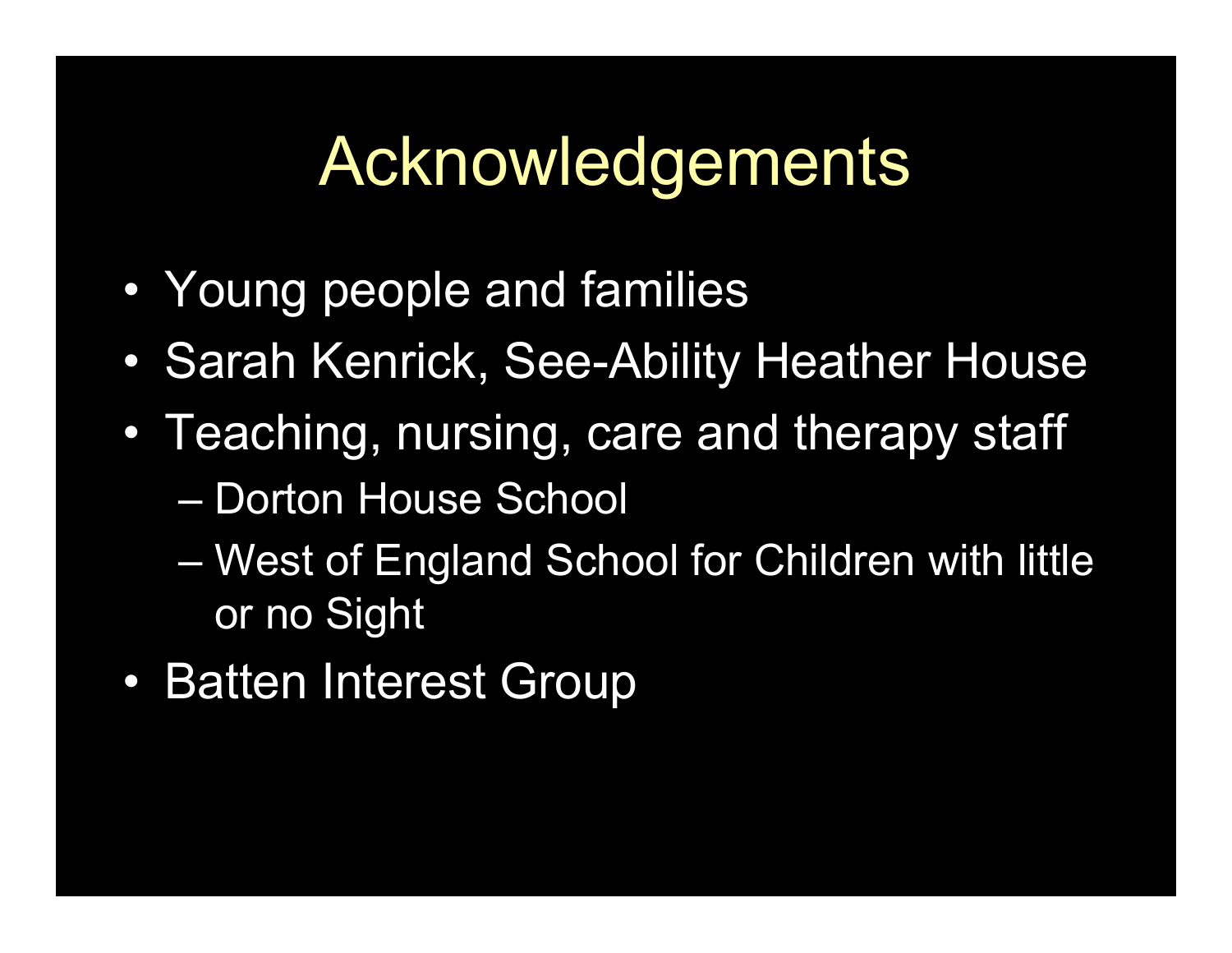#### Acknowledgements

- Young people and families
- Sarah Kenrick, See-Ability Heather House
- Teaching, nursing, care and therapy staff
	- Dorton House School
	- West of England School for Children with little or no Sight
- Batten Interest Group